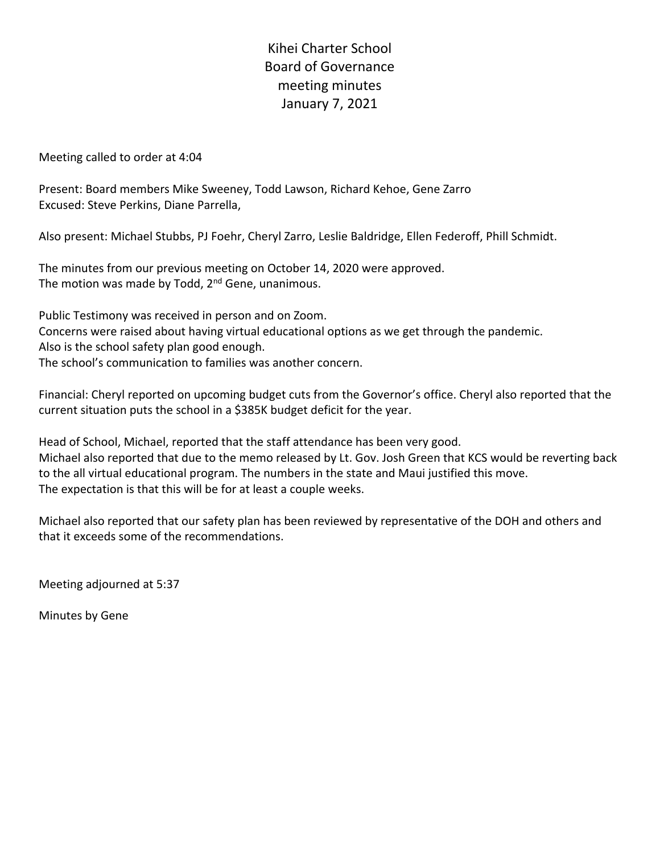Kihei Charter School Board of Governance meeting minutes January 7, 2021

Meeting called to order at 4:04

Present: Board members Mike Sweeney, Todd Lawson, Richard Kehoe, Gene Zarro Excused: Steve Perkins, Diane Parrella,

Also present: Michael Stubbs, PJ Foehr, Cheryl Zarro, Leslie Baldridge, Ellen Federoff, Phill Schmidt.

The minutes from our previous meeting on October 14, 2020 were approved. The motion was made by Todd,  $2^{nd}$  Gene, unanimous.

Public Testimony was received in person and on Zoom.

Concerns were raised about having virtual educational options as we get through the pandemic.

Also is the school safety plan good enough.

The school's communication to families was another concern.

Financial: Cheryl reported on upcoming budget cuts from the Governor's office. Cheryl also reported that the current situation puts the school in a \$385K budget deficit for the year.

Head of School, Michael, reported that the staff attendance has been very good. Michael also reported that due to the memo released by Lt. Gov. Josh Green that KCS would be reverting back to the all virtual educational program. The numbers in the state and Maui justified this move. The expectation is that this will be for at least a couple weeks.

Michael also reported that our safety plan has been reviewed by representative of the DOH and others and that it exceeds some of the recommendations.

Meeting adjourned at 5:37

Minutes by Gene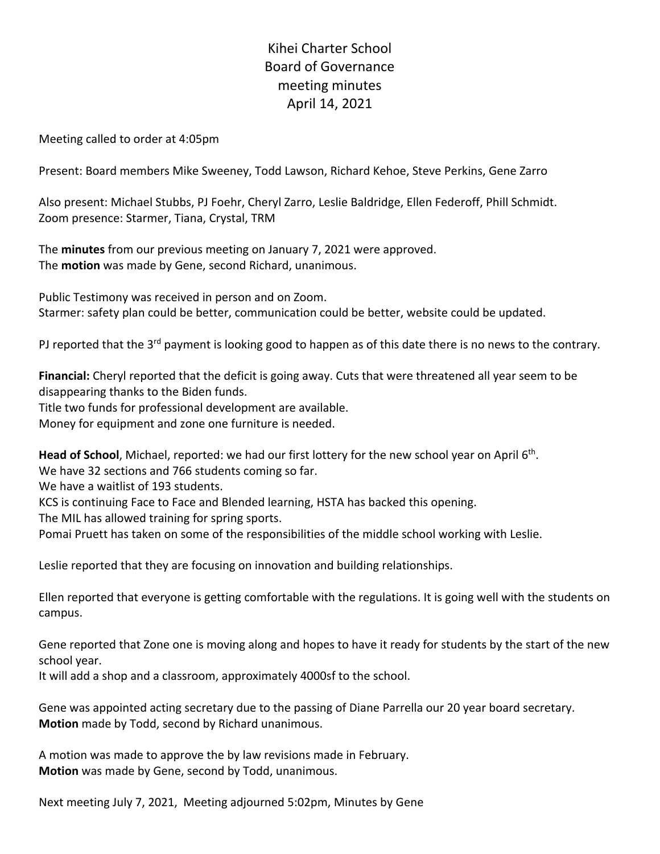## Kihei Charter School Board of Governance meeting minutes April 14, 2021

Meeting called to order at 4:05pm

Present: Board members Mike Sweeney, Todd Lawson, Richard Kehoe, Steve Perkins, Gene Zarro

Also present: Michael Stubbs, PJ Foehr, Cheryl Zarro, Leslie Baldridge, Ellen Federoff, Phill Schmidt. Zoom presence: Starmer, Tiana, Crystal, TRM

The **minutes** from our previous meeting on January 7, 2021 were approved. The **motion** was made by Gene, second Richard, unanimous.

Public Testimony was received in person and on Zoom. Starmer: safety plan could be better, communication could be better, website could be updated.

PJ reported that the  $3^{rd}$  payment is looking good to happen as of this date there is no news to the contrary.

**Financial:** Cheryl reported that the deficit is going away. Cuts that were threatened all year seem to be disappearing thanks to the Biden funds.

Title two funds for professional development are available.

Money for equipment and zone one furniture is needed.

**Head of School**, Michael, reported: we had our first lottery for the new school year on April 6th.

We have 32 sections and 766 students coming so far.

We have a waitlist of 193 students.

KCS is continuing Face to Face and Blended learning, HSTA has backed this opening.

The MIL has allowed training for spring sports.

Pomai Pruett has taken on some of the responsibilities of the middle school working with Leslie.

Leslie reported that they are focusing on innovation and building relationships.

Ellen reported that everyone is getting comfortable with the regulations. It is going well with the students on campus.

Gene reported that Zone one is moving along and hopes to have it ready for students by the start of the new school year.

It will add a shop and a classroom, approximately 4000sf to the school.

Gene was appointed acting secretary due to the passing of Diane Parrella our 20 year board secretary. **Motion** made by Todd, second by Richard unanimous.

A motion was made to approve the by law revisions made in February. **Motion** was made by Gene, second by Todd, unanimous.

Next meeting July 7, 2021, Meeting adjourned 5:02pm, Minutes by Gene